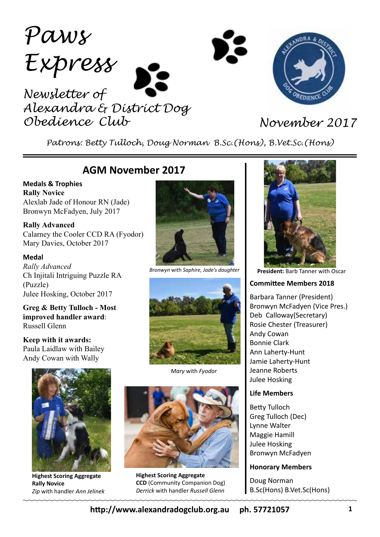*Paws Express Newsletter of Alexandra & District Dog Obedience Club November 2017*



*Patrons: Betty Tulloch, Doug Norman B.Sc.(Hons), B.Vet.Sc.(Hons)*

## **AGM November 2017**

**Medals & Trophies Rally Novice** Alexlab Jade of Honour RN (Jade) Bronwyn McFadyen, July 2017

**Rally Advanced** Calarney the Cooler CCD RA (Fyodor) Mary Davies, October 2017

### **Medal**

*Rally Advanced* Ch Injitali Intriguing Puzzle RA (Puzzle) Julee Hosking, October 2017

**Greg & Betty Tulloch - Most improved handler award**: Russell Glenn

**Keep with it awards:** Paula Laidlaw with Bailey Andy Cowan with Wally



**Highest Scoring Aggregate Rally Novice** *Zip* with handler *Ann Jelinek*



*Bronwyn* with *Saphire, Jade's daughter*



*Mary* with *Fyodor*



**Highest Scoring Aggregate CCD** (Community Companion Dog) *Derrick* with handler *Russell Glenn*



**President:** Barb Tanner with Oscar

#### **Committee Members 2018**

Barbara Tanner (President) Bronwyn McFadyen (Vice Pres.) Deb Calloway(Secretary) Rosie Chester (Treasurer) Andy Cowan Bonnie Clark Ann Laherty-Hunt Jamie Laherty-Hunt Jeanne Roberts Julee Hosking

#### **Life Members**

Betty Tulloch Greg Tulloch (Dec) Lynne Walter Maggie Hamill Julee Hosking Bronwyn McFadyen

### **Honorary Members**

Doug Norman B.Sc(Hons) B.Vet.Sc(Hons)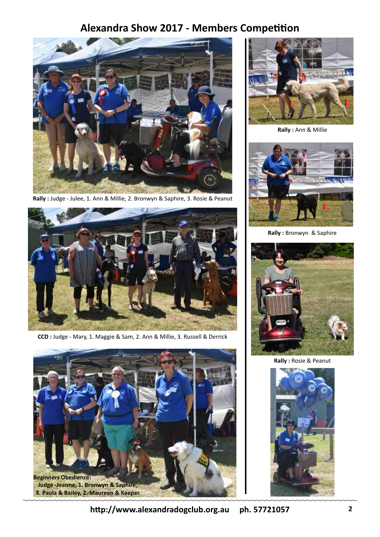# **Alexandra Show 2017 - Members Competition**



**Rally :** Judge - Julee, 1. Ann & Millie, 2. Bronwyn & Saphire, 3. Rosie & Peanut



**CCD :** Judge - Mary, 1. Maggie & Sam, 2. Ann & Millie, 3. Russell & Derrick





**Rally :** Ann & Millie



**Rally :** Bronwyn & Saphire



**Rally :** Rosie & Peanut

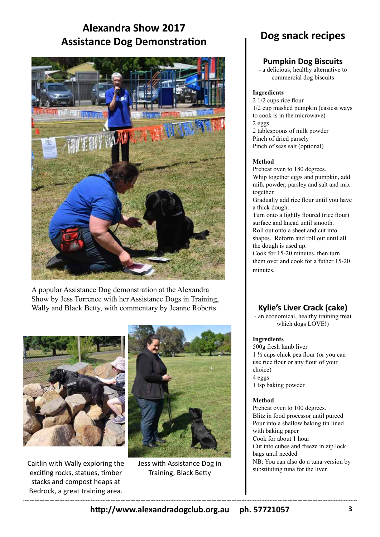# **Alexandra Show 2017 Assistance Dog Demonstration**



A popular Assistance Dog demonstration at the Alexandra Show by Jess Torrence with her Assistance Dogs in Training, Wally and Black Betty, with commentary by Jeanne Roberts.



Caitlin with Wally exploring the exciting rocks, statues, timber stacks and compost heaps at Bedrock, a great training area.



Jess with Assistance Dog in Training, Black Betty

# **Dog snack recipes**

## **Pumpkin Dog Biscuits**

- a delicious, healthy alternative to commercial dog biscuits

#### **Ingredients**

2 1/2 cups rice flour 1/2 cup mashed pumpkin (easiest ways to cook is in the microwave) 2 eggs 2 tablespoons of milk powder Pinch of dried parsely

Pinch of seas salt (optional)

### **Method**

Preheat oven to 180 degrees. Whip together eggs and pumpkin, add milk powder, parsley and salt and mix together.

Gradually add rice flour until you have a thick dough.

Turn onto a lightly floured (rice flour) surface and knead until smooth. Roll out onto a sheet and cut into shapes. Reform and roll out until all the dough is used up.

Cook for 15-20 minutes, then turn them over and cook for a futher 15-20 minutes.

## **Kylie's Liver Crack (cake)**

- an economical, healthy training treat which dogs LOVE!)

### **Ingredients**

500g fresh lamb liver 1 ½ cups chick pea flour (or you can use rice flour or any flour of your choice) 4 eggs 1 tsp baking powder

### **Method**

Preheat oven to 100 degrees. Blitz in food processor until pureed Pour into a shallow baking tin lined with baking paper Cook for about 1 hour Cut into cubes and freeze in zip lock bags until needed NB: You can also do a tuna version by substituting tuna for the liver.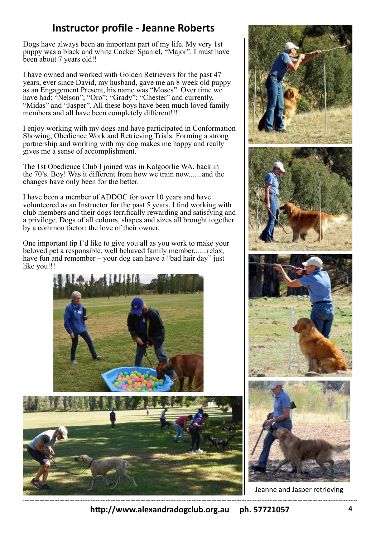# **Instructor profile - Jeanne Roberts**

Dogs have always been an important part of my life. My very 1st puppy was a black and white Cocker Spaniel, "Major". I must have been about 7 years old!!

I have owned and worked with Golden Retrievers for the past 47 years, ever since David, my husband, gave me an 8 week old puppy as an Engagement Present, his name was "Moses". Over time we have had: "Nelson"; "Oro"; "Grady"; "Chester" and currently, "Midas" and "Jasper". All these boys have been much loved family members and all have been completely different!!!

I enjoy working with my dogs and have participated in Conformation Showing, Obedience Work and Retrieving Trials. Forming a strong partnership and working with my dog makes me happy and really gives me a sense of accomplishment.

The 1st Obedience Club I joined was in Kalgoorlie WA, back in the 70's. Boy! Was it different from how we train now.......and the changes have only been for the better.

I have been a member of ADDOC for over 10 years and have volunteered as an Instructor for the past 5 years. I find working with club members and their dogs terrifically rewarding and satisfying and a privilege. Dogs of all colours, shapes and sizes all brought together by a common factor: the love of their owner.

One important tip I'd like to give you all as you work to make your beloved pet a responsible, well behaved family member.......relax, have fun and remember – your dog can have a "bad hair day" just like you!!!





Jeanne and Jasper retrieving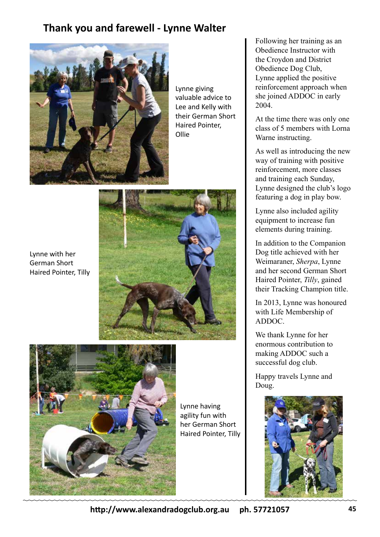# **Thank you and farewell - Lynne Walter**



Lynne giving valuable advice to Lee and Kelly with their German Short Haired Pointer, Ollie



Lynne with her German Short Haired Pointer, Tilly



Lynne having agility fun with her German Short Haired Pointer, Tilly

Following her training as an Obedience Instructor with the Croydon and District Obedience Dog Club, Lynne applied the positive reinforcement approach when she joined ADDOC in early 2004.

At the time there was only one class of 5 members with Lorna Warne instructing.

As well as introducing the new way of training with positive reinforcement, more classes and training each Sunday, Lynne designed the club's logo featuring a dog in play bow.

Lynne also included agility equipment to increase fun elements during training.

In addition to the Companion Dog title achieved with her Weimaraner, *Sherpa*, Lynne and her second German Short Haired Pointer, *Tilly*, gained their Tracking Champion title.

In 2013, Lynne was honoured with Life Membership of ADDOC.

We thank Lynne for her enormous contribution to making ADDOC such a successful dog club.

Happy travels Lynne and Doug.



**http://www.alexandradogclub.org.au ph. 57721057**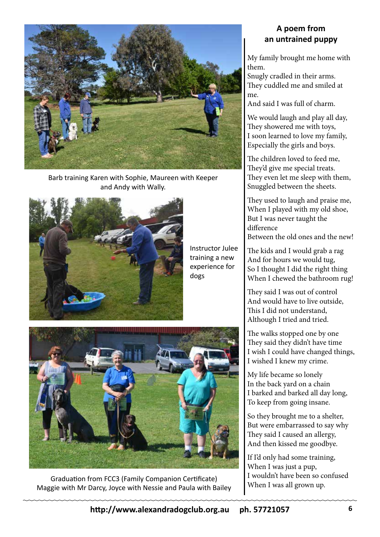

Barb training Karen with Sophie, Maureen with Keeper and Andy with Wally.



Instructor Julee training a new experience for dogs



Graduation from FCC3 (Family Companion Certificate) Maggie with Mr Darcy, Joyce with Nessie and Paula with Bailey

## **A poem from an untrained puppy**

My family brought me home with them.

Snugly cradled in their arms. They cuddled me and smiled at me.

And said I was full of charm.

We would laugh and play all day, They showered me with toys, I soon learned to love my family, Especially the girls and boys.

The children loved to feed me, They'd give me special treats. They even let me sleep with them, Snuggled between the sheets.

They used to laugh and praise me, When I played with my old shoe, But I was never taught the difference Between the old ones and the new!

The kids and I would grab a rag And for hours we would tug, So I thought I did the right thing When I chewed the bathroom rug!

They said I was out of control And would have to live outside, This I did not understand, Although I tried and tried.

The walks stopped one by one They said they didn't have time I wish I could have changed things, I wished I knew my crime.

My life became so lonely In the back yard on a chain I barked and barked all day long, To keep from going insane.

So they brought me to a shelter, But were embarrassed to say why They said I caused an allergy, And then kissed me goodbye.

If I'd only had some training, When I was just a pup, I wouldn't have been so confused When I was all grown up.